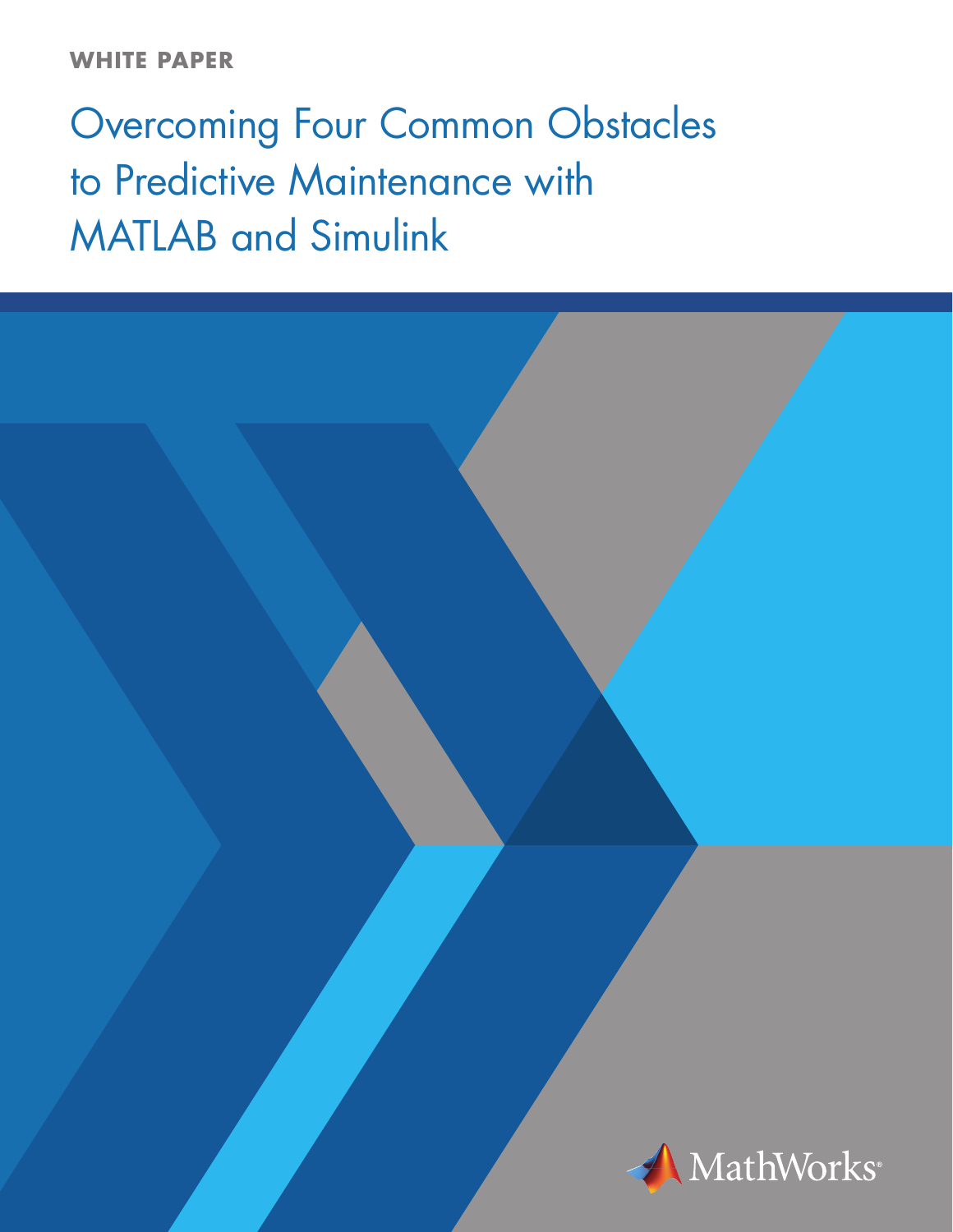# **WHITE PAPER**

# Overcoming Four Common Obstacles to Predictive Maintenance with MATLAB and Simulink

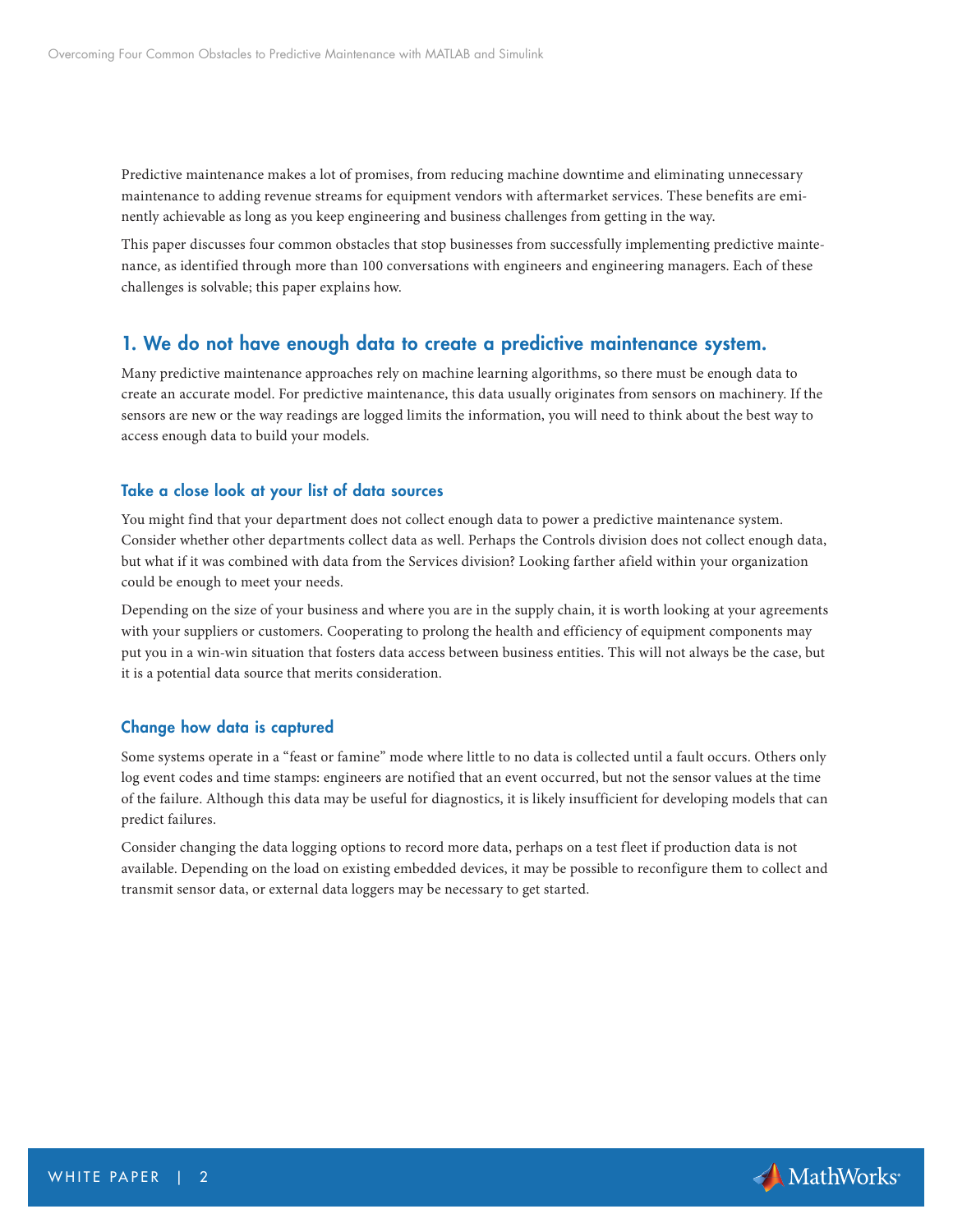Predictive maintenance makes a lot of promises, from reducing machine downtime and eliminating unnecessary maintenance to adding revenue streams for equipment vendors with aftermarket services. These benefits are eminently achievable as long as you keep engineering and business challenges from getting in the way.

This paper discusses four common obstacles that stop businesses from successfully implementing predictive maintenance, as identified through more than 100 conversations with engineers and engineering managers. Each of these challenges is solvable; this paper explains how.

# 1. We do not have enough data to create a predictive maintenance system.

Many predictive maintenance approaches rely on machine learning algorithms, so there must be enough data to create an accurate model. For predictive maintenance, this data usually originates from sensors on machinery. If the sensors are new or the way readings are logged limits the information, you will need to think about the best way to access enough data to build your models.

#### Take a close look at your list of data sources

You might find that your department does not collect enough data to power a predictive maintenance system. Consider whether other departments collect data as well. Perhaps the Controls division does not collect enough data, but what if it was combined with data from the Services division? Looking farther afield within your organization could be enough to meet your needs.

Depending on the size of your business and where you are in the supply chain, it is worth looking at your agreements with your suppliers or customers. Cooperating to prolong the health and efficiency of equipment components may put you in a win-win situation that fosters data access between business entities. This will not always be the case, but it is a potential data source that merits consideration.

#### Change how data is captured

Some systems operate in a "feast or famine" mode where little to no data is collected until a fault occurs. Others only log event codes and time stamps: engineers are notified that an event occurred, but not the sensor values at the time of the failure. Although this data may be useful for diagnostics, it is likely insufficient for developing models that can predict failures.

Consider changing the data logging options to record more data, perhaps on a test fleet if production data is not available. Depending on the load on existing embedded devices, it may be possible to reconfigure them to collect and transmit sensor data, or external data loggers may be necessary to get started.

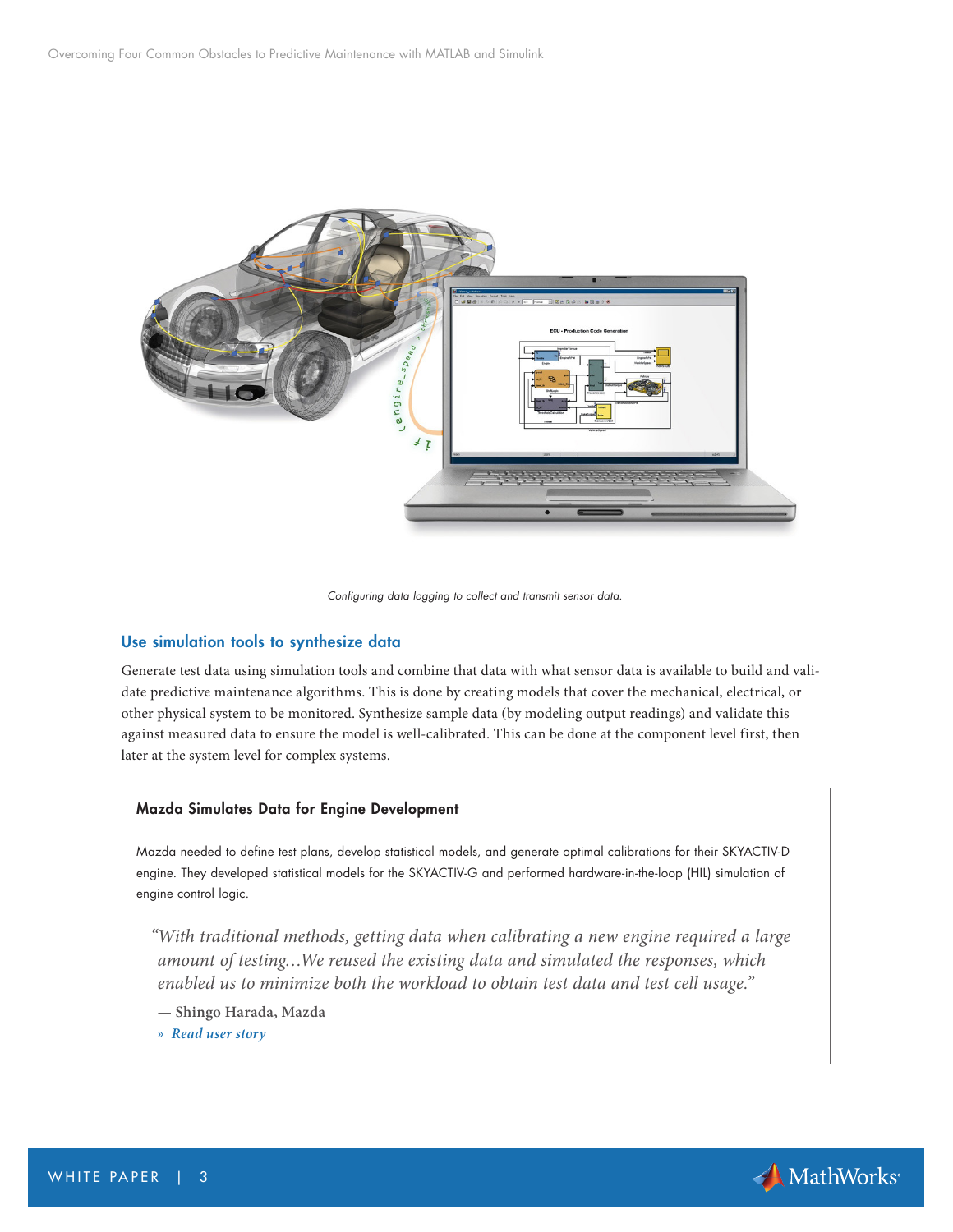

*Configuring data logging to collect and transmit sensor data.*

#### Use simulation tools to synthesize data

Generate test data using simulation tools and combine that data with what sensor data is available to build and validate predictive maintenance algorithms. This is done by creating models that cover the mechanical, electrical, or other physical system to be monitored. Synthesize sample data (by modeling output readings) and validate this against measured data to ensure the model is well-calibrated. This can be done at the component level first, then later at the system level for complex systems.

#### Mazda Simulates Data for Engine Development

Mazda needed to define test plans, develop statistical models, and generate optimal calibrations for their SKYACTIV-D engine. They developed statistical models for the SKYACTIV-G and performed hardware-in-the-loop (HIL) simulation of engine control logic.

*"With traditional methods, getting data when calibrating a new engine required a large amount of testing…We reused the existing data and simulated the responses, which enabled us to minimize both the workload to obtain test data and test cell usage."*

- **Shingo Harada, Mazda**
- » *[Read user story](https://www.mathworks.com/company/user_stories/mazda-speeds-next-generation-engine-development-of-skyactiv-technology.html?s_tid=OIT_19290)*

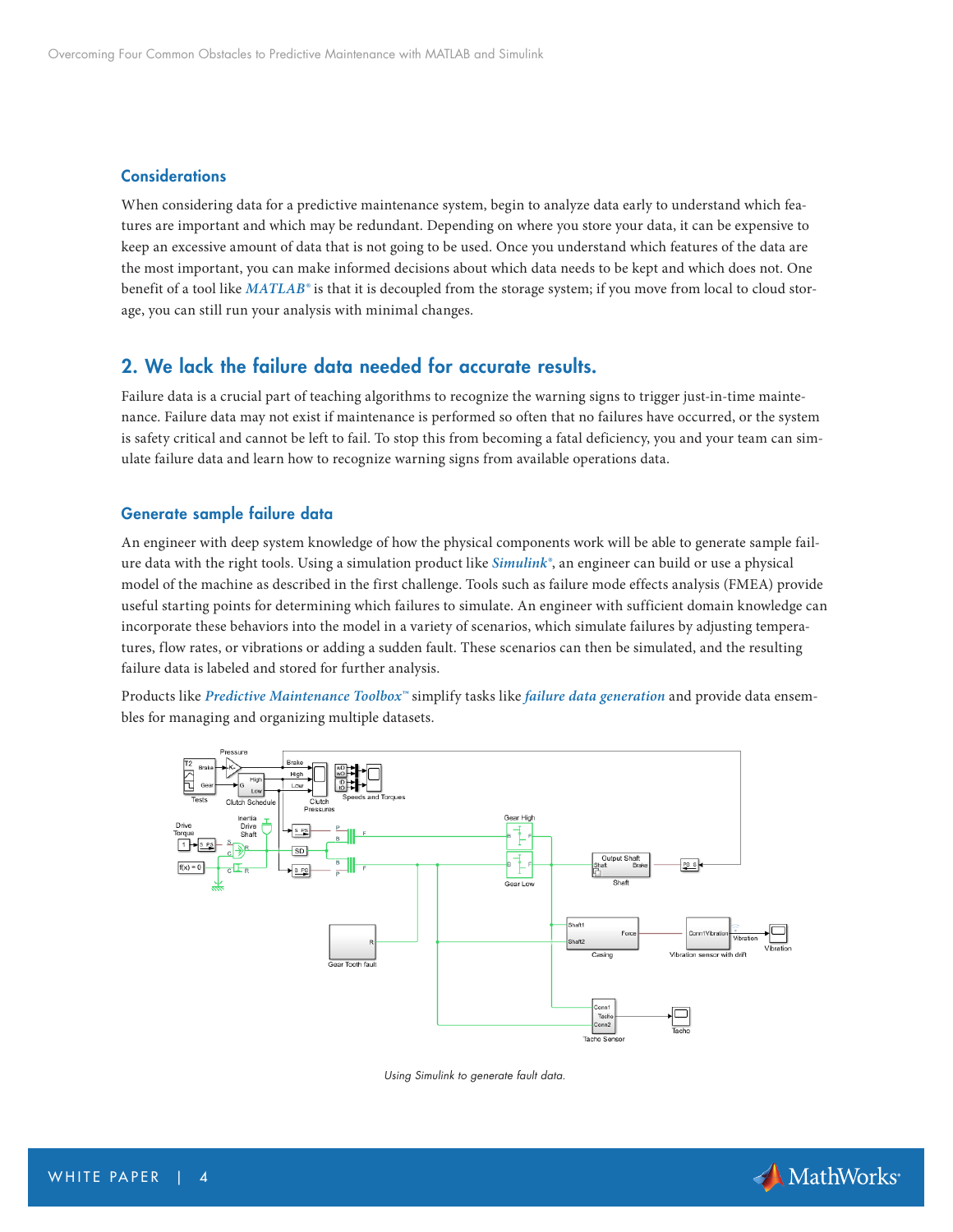#### **Considerations**

When considering data for a predictive maintenance system, begin to analyze data early to understand which features are important and which may be redundant. Depending on where you store your data, it can be expensive to keep an excessive amount of data that is not going to be used. Once you understand which features of the data are the most important, you can make informed decisions about which data needs to be kept and which does not. One benefit of a tool like *[MATLAB®](https://www.mathworks.com/products/matlab.html?s_tid=OIT_19291)* is that it is decoupled from the storage system; if you move from local to cloud storage, you can still run your analysis with minimal changes.

# 2. We lack the failure data needed for accurate results.

Failure data is a crucial part of teaching algorithms to recognize the warning signs to trigger just-in-time maintenance. Failure data may not exist if maintenance is performed so often that no failures have occurred, or the system is safety critical and cannot be left to fail. To stop this from becoming a fatal deficiency, you and your team can simulate failure data and learn how to recognize warning signs from available operations data.

#### Generate sample failure data

An engineer with deep system knowledge of how the physical components work will be able to generate sample failure data with the right tools. Using a simulation product like *[Simulink®](https://www.mathworks.com/products/simulink.html?s_tid=OIT_19292)*, an engineer can build or use a physical model of the machine as described in the first challenge. Tools such as failure mode effects analysis (FMEA) provide useful starting points for determining which failures to simulate. An engineer with sufficient domain knowledge can incorporate these behaviors into the model in a variety of scenarios, which simulate failures by adjusting temperatures, flow rates, or vibrations or adding a sudden fault. These scenarios can then be simulated, and the resulting failure data is labeled and stored for further analysis.

Products like *[Predictive Maintenance Toolbox™](https://www.mathworks.com/products/predictive-maintenance.html?s_tid=OIT_19293)* simplify tasks like *[failure data generation](https://www.mathworks.com/products/predictive-maintenance/features.html#failure-data-generation-from-simulink)* and provide data ensembles for managing and organizing multiple datasets.



*Using Simulink to generate fault data.* 

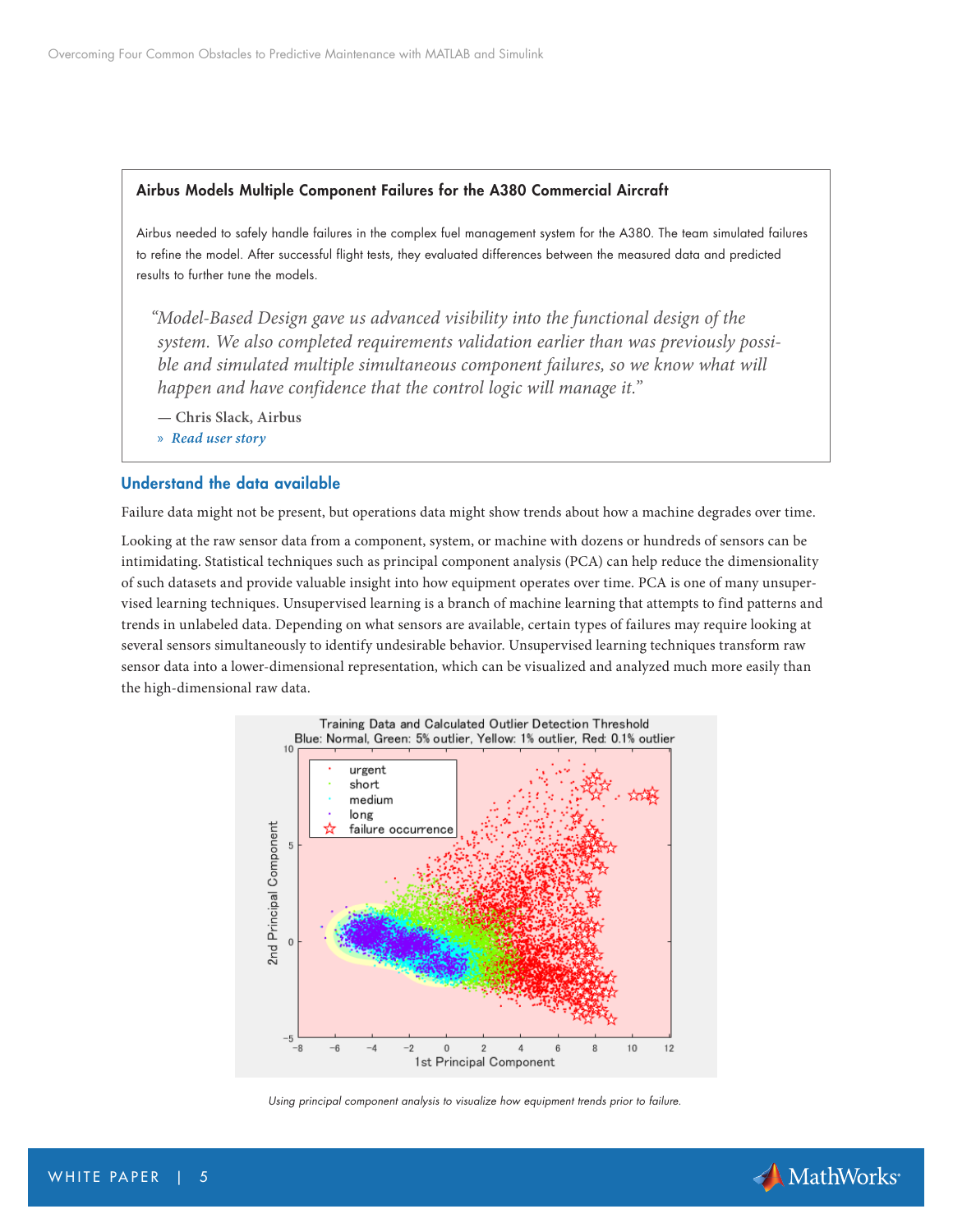#### Airbus Models Multiple Component Failures for the A380 Commercial Aircraft

Airbus needed to safely handle failures in the complex fuel management system for the A380. The team simulated failures to refine the model. After successful flight tests, they evaluated differences between the measured data and predicted results to further tune the models.

*"Model-Based Design gave us advanced visibility into the functional design of the system. We also completed requirements validation earlier than was previously possible and simulated multiple simultaneous component failures, so we know what will happen and have confidence that the control logic will manage it."* 

**— Chris Slack, Airbus**

» *[Read user story](https://www.mathworks.com/company/user_stories/airbus-develops-fuel-management-system-for-the-a380-using-model-based-design.html?s_tid=OIT_19219)*

#### Understand the data available

Failure data might not be present, but operations data might show trends about how a machine degrades over time.

Looking at the raw sensor data from a component, system, or machine with dozens or hundreds of sensors can be intimidating. Statistical techniques such as principal component analysis (PCA) can help reduce the dimensionality of such datasets and provide valuable insight into how equipment operates over time. PCA is one of many unsupervised learning techniques. Unsupervised learning is a branch of machine learning that attempts to find patterns and trends in unlabeled data. Depending on what sensors are available, certain types of failures may require looking at several sensors simultaneously to identify undesirable behavior. Unsupervised learning techniques transform raw sensor data into a lower-dimensional representation, which can be visualized and analyzed much more easily than the high-dimensional raw data.



*Using principal component analysis to visualize how equipment trends prior to failure.*

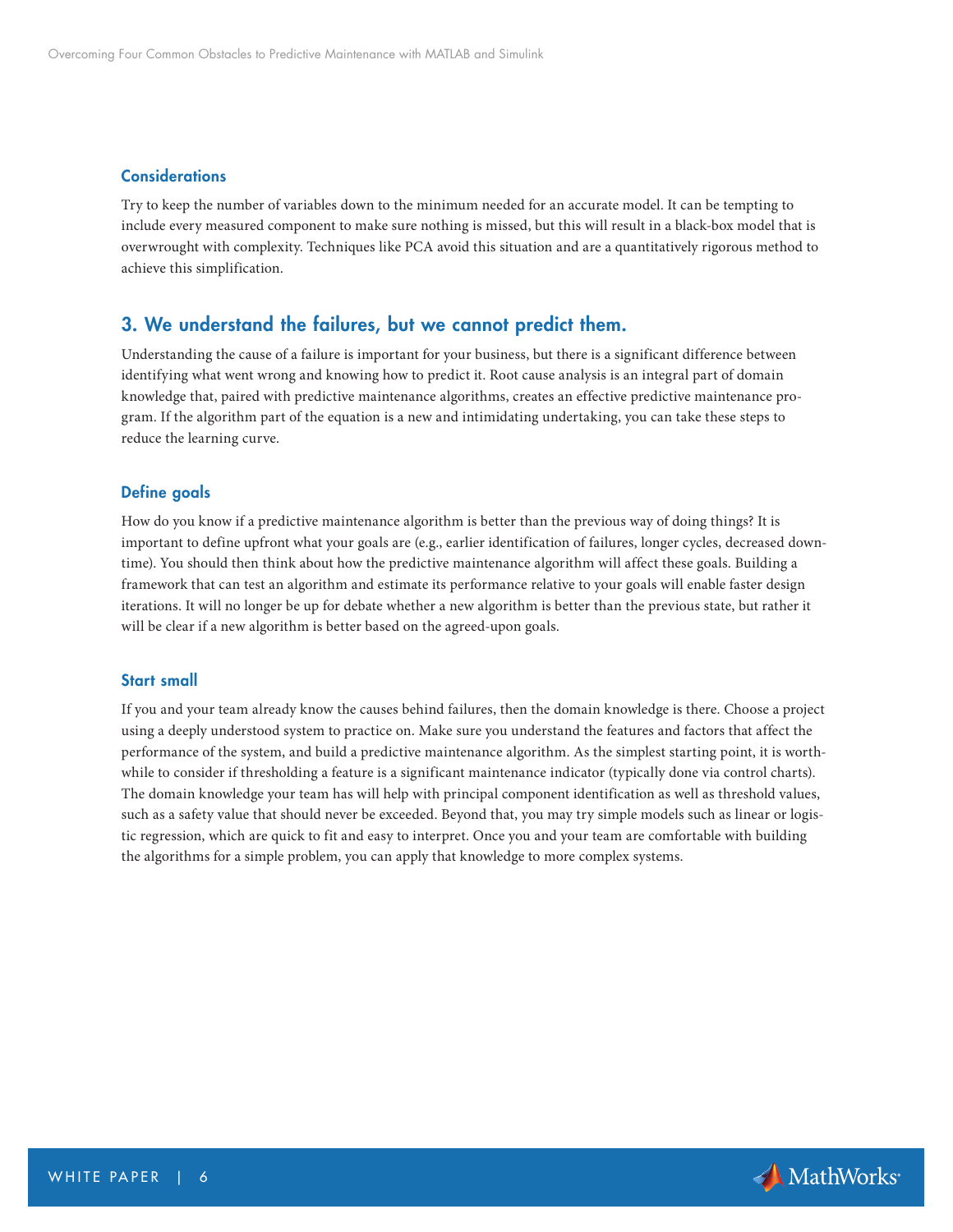#### **Considerations**

Try to keep the number of variables down to the minimum needed for an accurate model. It can be tempting to include every measured component to make sure nothing is missed, but this will result in a black-box model that is overwrought with complexity. Techniques like PCA avoid this situation and are a quantitatively rigorous method to achieve this simplification.

## 3. We understand the failures, but we cannot predict them.

Understanding the cause of a failure is important for your business, but there is a significant difference between identifying what went wrong and knowing how to predict it. Root cause analysis is an integral part of domain knowledge that, paired with predictive maintenance algorithms, creates an effective predictive maintenance program. If the algorithm part of the equation is a new and intimidating undertaking, you can take these steps to reduce the learning curve.

#### Define goals

How do you know if a predictive maintenance algorithm is better than the previous way of doing things? It is important to define upfront what your goals are (e.g., earlier identification of failures, longer cycles, decreased downtime). You should then think about how the predictive maintenance algorithm will affect these goals. Building a framework that can test an algorithm and estimate its performance relative to your goals will enable faster design iterations. It will no longer be up for debate whether a new algorithm is better than the previous state, but rather it will be clear if a new algorithm is better based on the agreed-upon goals.

#### Start small

If you and your team already know the causes behind failures, then the domain knowledge is there. Choose a project using a deeply understood system to practice on. Make sure you understand the features and factors that affect the performance of the system, and build a predictive maintenance algorithm. As the simplest starting point, it is worthwhile to consider if thresholding a feature is a significant maintenance indicator (typically done via control charts). The domain knowledge your team has will help with principal component identification as well as threshold values, such as a safety value that should never be exceeded. Beyond that, you may try simple models such as linear or logistic regression, which are quick to fit and easy to interpret. Once you and your team are comfortable with building the algorithms for a simple problem, you can apply that knowledge to more complex systems.

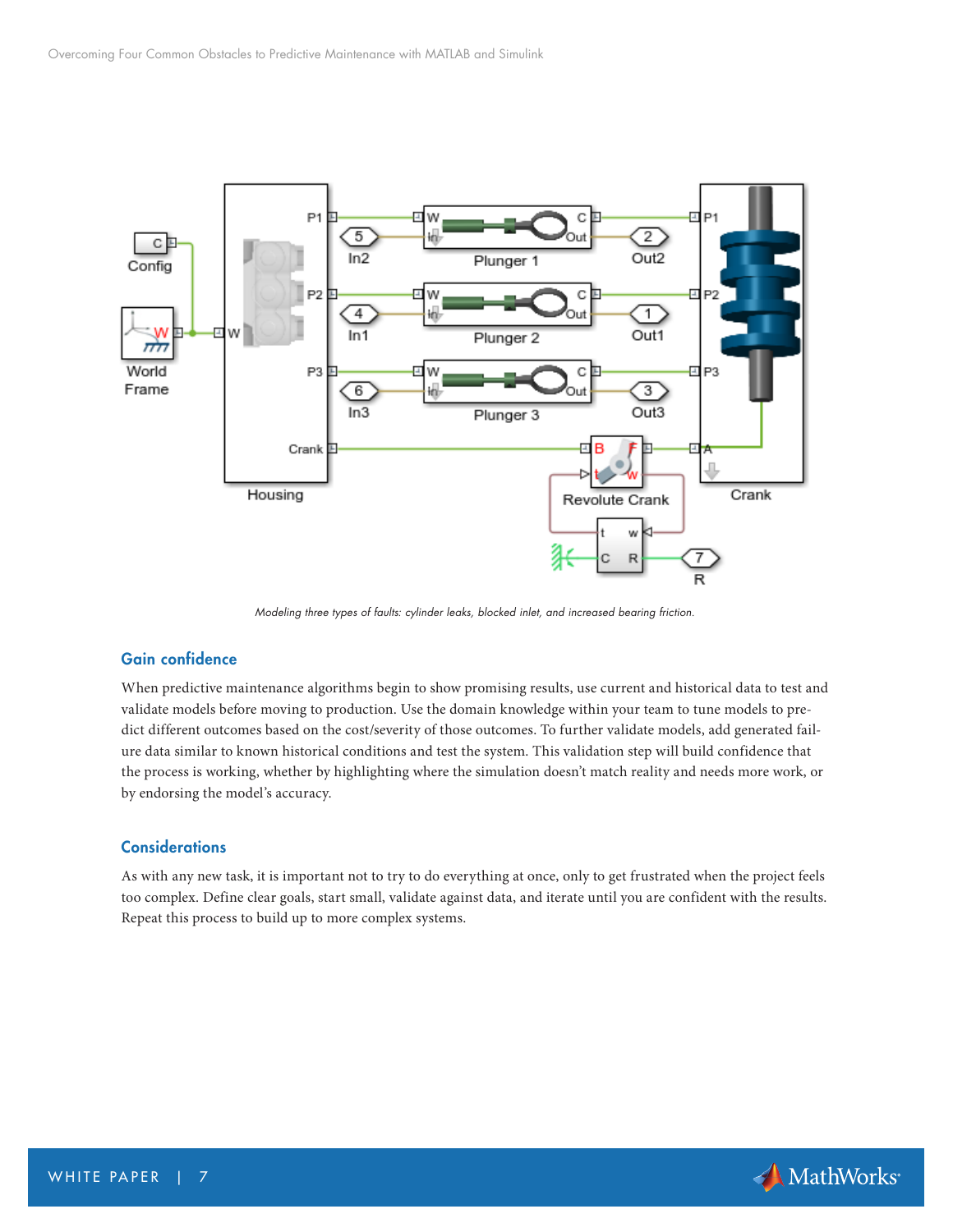

*Modeling three types of faults: cylinder leaks, blocked inlet, and increased bearing friction.*

# Gain confidence

When predictive maintenance algorithms begin to show promising results, use current and historical data to test and validate models before moving to production. Use the domain knowledge within your team to tune models to predict different outcomes based on the cost/severity of those outcomes. To further validate models, add generated failure data similar to known historical conditions and test the system. This validation step will build confidence that the process is working, whether by highlighting where the simulation doesn't match reality and needs more work, or by endorsing the model's accuracy.

#### **Considerations**

As with any new task, it is important not to try to do everything at once, only to get frustrated when the project feels too complex. Define clear goals, start small, validate against data, and iterate until you are confident with the results. Repeat this process to build up to more complex systems.

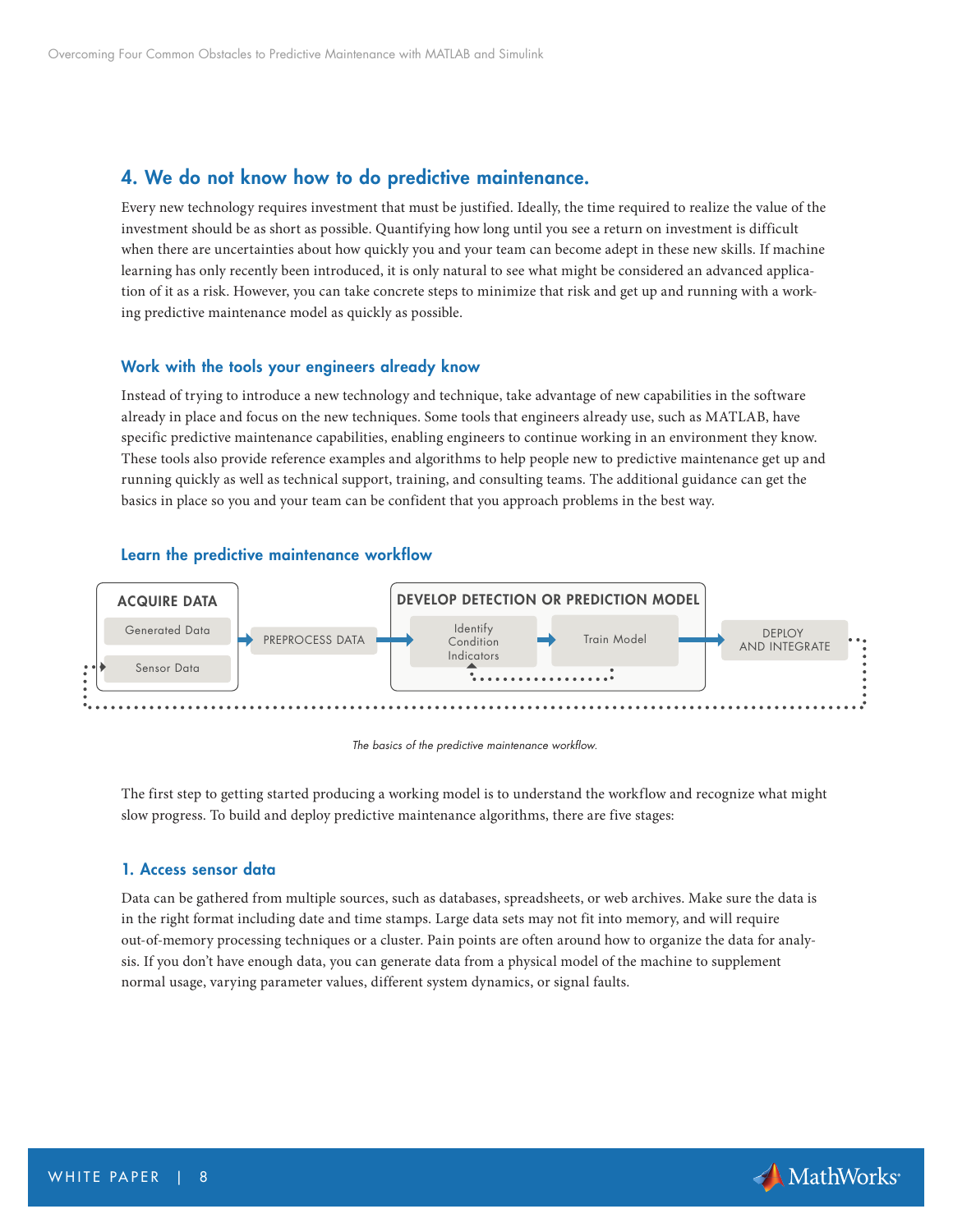# 4. We do not know how to do predictive maintenance.

Every new technology requires investment that must be justified. Ideally, the time required to realize the value of the investment should be as short as possible. Quantifying how long until you see a return on investment is difficult when there are uncertainties about how quickly you and your team can become adept in these new skills. If machine learning has only recently been introduced, it is only natural to see what might be considered an advanced application of it as a risk. However, you can take concrete steps to minimize that risk and get up and running with a working predictive maintenance model as quickly as possible.

#### Work with the tools your engineers already know

Instead of trying to introduce a new technology and technique, take advantage of new capabilities in the software already in place and focus on the new techniques. Some tools that engineers already use, such as MATLAB, have specific predictive maintenance capabilities, enabling engineers to continue working in an environment they know. These tools also provide reference examples and algorithms to help people new to predictive maintenance get up and running quickly as well as technical support, training, and consulting teams. The additional guidance can get the basics in place so you and your team can be confident that you approach problems in the best way.

#### Learn the predictive maintenance workflow



*The basics of the predictive maintenance workflow.*

The first step to getting started producing a working model is to understand the workflow and recognize what might slow progress. To build and deploy predictive maintenance algorithms, there are five stages:

#### 1. Access sensor data

Data can be gathered from multiple sources, such as databases, spreadsheets, or web archives. Make sure the data is in the right format including date and time stamps. Large data sets may not fit into memory, and will require out-of-memory processing techniques or a cluster. Pain points are often around how to organize the data for analysis. If you don't have enough data, you can generate data from a physical model of the machine to supplement normal usage, varying parameter values, different system dynamics, or signal faults.

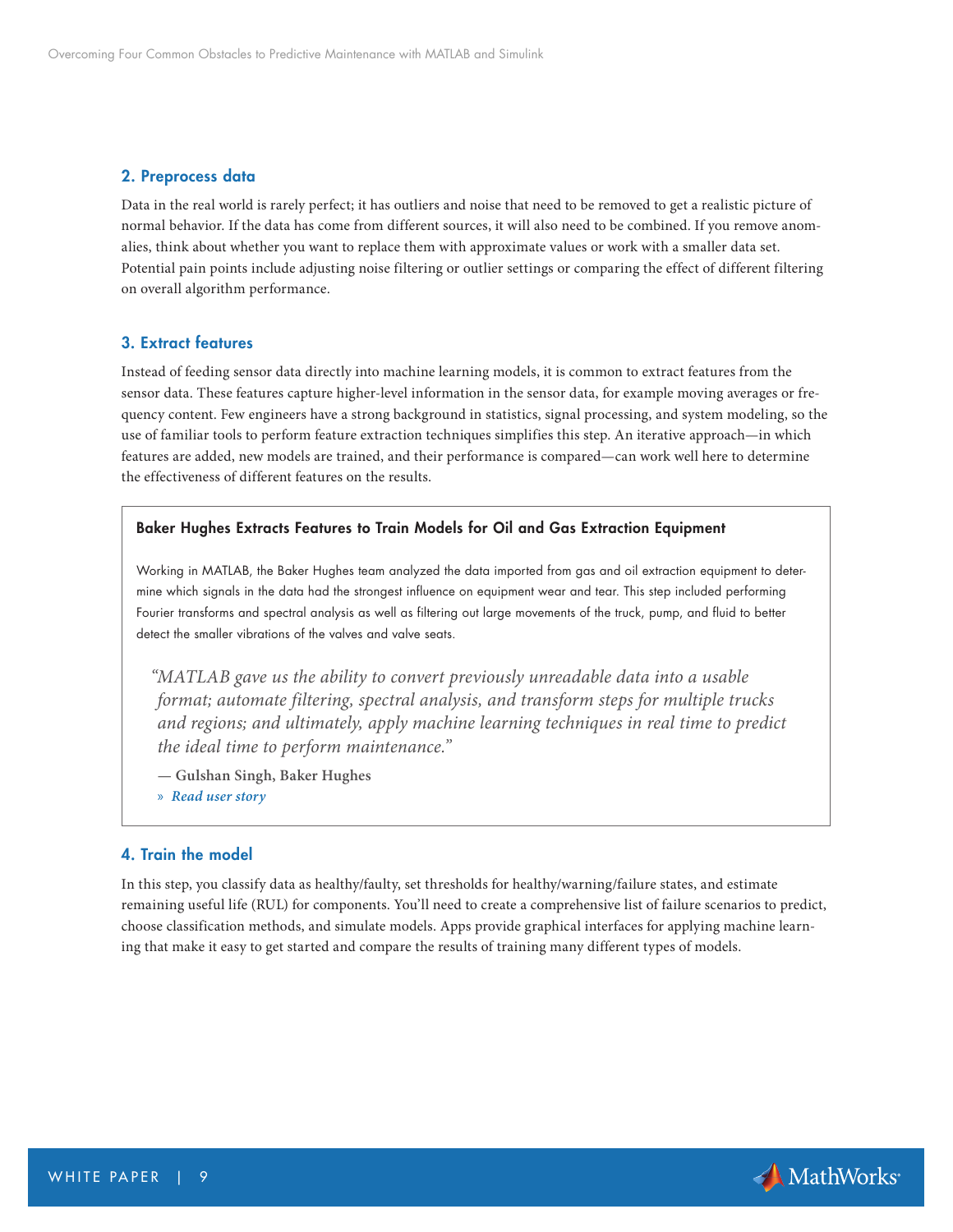#### 2. Preprocess data

Data in the real world is rarely perfect; it has outliers and noise that need to be removed to get a realistic picture of normal behavior. If the data has come from different sources, it will also need to be combined. If you remove anomalies, think about whether you want to replace them with approximate values or work with a smaller data set. Potential pain points include adjusting noise filtering or outlier settings or comparing the effect of different filtering on overall algorithm performance.

#### 3. Extract features

Instead of feeding sensor data directly into machine learning models, it is common to extract features from the sensor data. These features capture higher-level information in the sensor data, for example moving averages or frequency content. Few engineers have a strong background in statistics, signal processing, and system modeling, so the use of familiar tools to perform feature extraction techniques simplifies this step. An iterative approach—in which features are added, new models are trained, and their performance is compared—can work well here to determine the effectiveness of different features on the results.

#### Baker Hughes Extracts Features to Train Models for Oil and Gas Extraction Equipment

Working in MATLAB, the Baker Hughes team analyzed the data imported from gas and oil extraction equipment to determine which signals in the data had the strongest influence on equipment wear and tear. This step included performing Fourier transforms and spectral analysis as well as filtering out large movements of the truck, pump, and fluid to better detect the smaller vibrations of the valves and valve seats.

*"MATLAB gave us the ability to convert previously unreadable data into a usable format; automate filtering, spectral analysis, and transform steps for multiple trucks and regions; and ultimately, apply machine learning techniques in real time to predict the ideal time to perform maintenance."* 

- **Gulshan Singh, Baker Hughes**
- » *[Read user story](https://www.mathworks.com/company/user_stories/baker-hughes-develops-predictive-maintenance-software-for-gas-and-oil-extraction-equipment-using-data-analytics-and-machine-learning.html?s_tid=OIT_19220)*

#### 4. Train the model

In this step, you classify data as healthy/faulty, set thresholds for healthy/warning/failure states, and estimate remaining useful life (RUL) for components. You'll need to create a comprehensive list of failure scenarios to predict, choose classification methods, and simulate models. Apps provide graphical interfaces for applying machine learning that make it easy to get started and compare the results of training many different types of models.

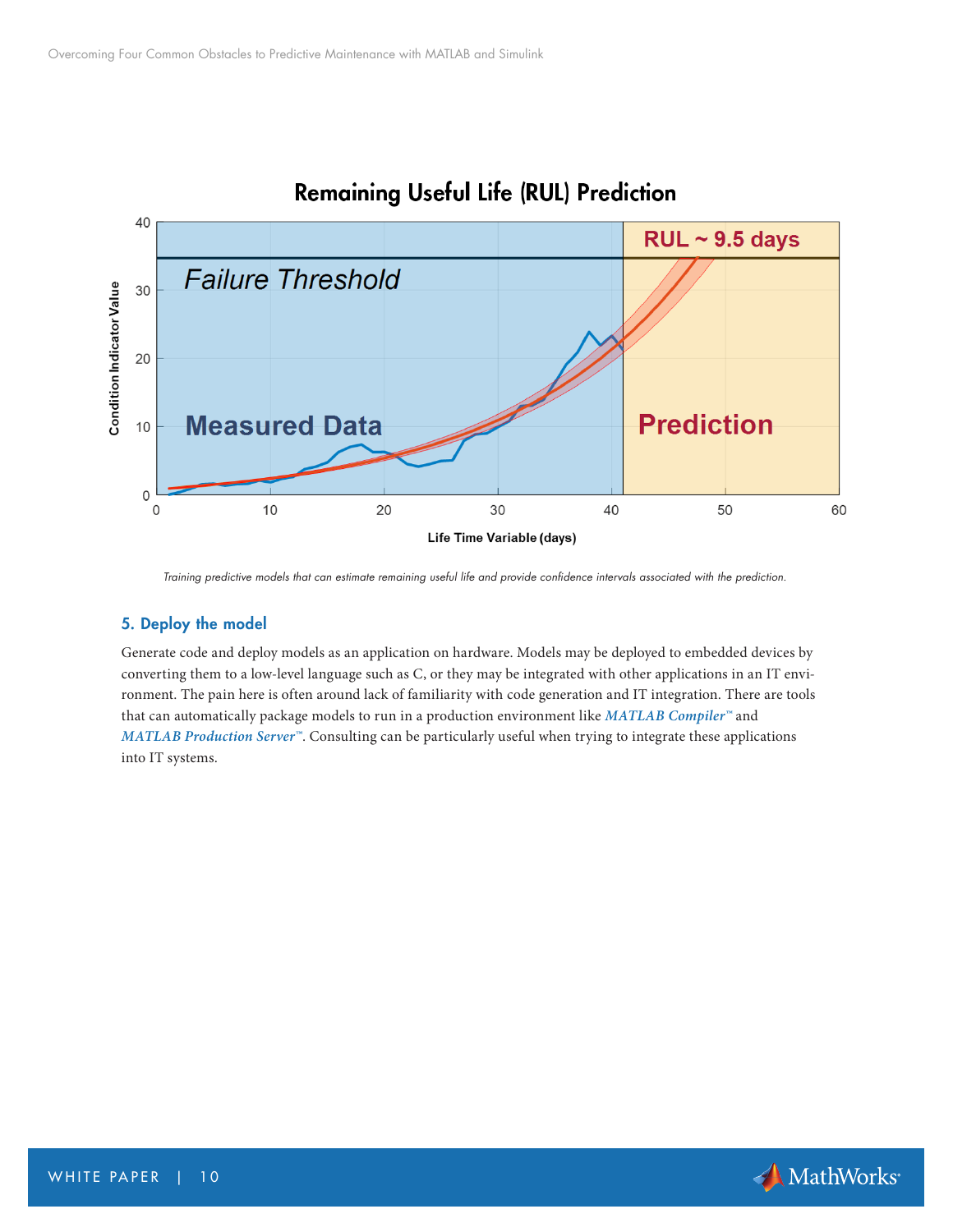

# **Remaining Useful Life (RUL) Prediction**

*Training predictive models that can estimate remaining useful life and provide confidence intervals associated with the prediction.*

# 5. Deploy the model

Generate code and deploy models as an application on hardware. Models may be deployed to embedded devices by converting them to a low-level language such as C, or they may be integrated with other applications in an IT environment. The pain here is often around lack of familiarity with code generation and IT integration. There are tools that can automatically package models to run in a production environment like *[MATLAB Compiler™](https://www.mathworks.com/products/compiler.html?s_tid=OIT_19296)* and *[MATLAB Production Server™](https://www.mathworks.com/products/matlab-production-server.html?s_tid=OIT_19297)*. Consulting can be particularly useful when trying to integrate these applications into IT systems.